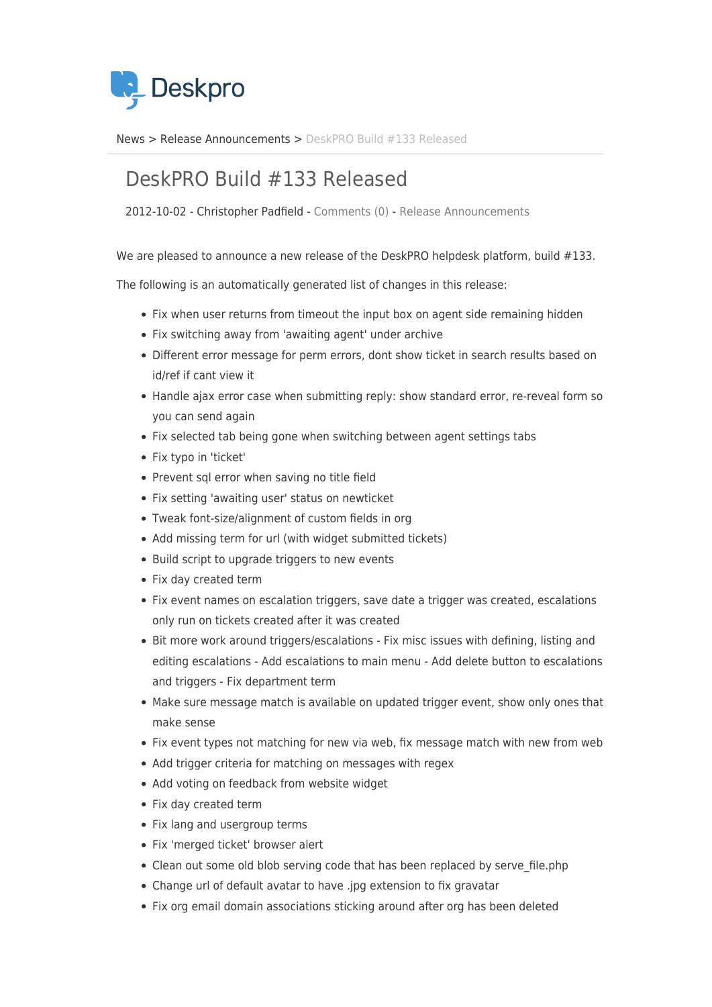

[News](https://support.deskpro.com/sv/news) > [Release Announcements](https://support.deskpro.com/sv/news/release-announcements) > [DeskPRO Build #133 Released](https://support.deskpro.com/sv/news/posts/deskpro-build-133-released)

## DeskPRO Build #133 Released

2012-10-02 - Christopher Padfield - [Comments \(0\)](#page--1-0) - [Release Announcements](https://support.deskpro.com/sv/news/release-announcements)

We are pleased to announce a new release of the DeskPRO helpdesk platform, build #133.

The following is an automatically generated list of changes in this release:

- Fix when user returns from timeout the input box on agent side remaining hidden
- Fix switching away from 'awaiting agent' under archive
- Different error message for perm errors, dont show ticket in search results based on id/ref if cant view it
- Handle ajax error case when submitting reply: show standard error, re-reveal form so you can send again
- Fix selected tab being gone when switching between agent settings tabs
- Fix typo in 'ticket'
- Prevent sql error when saving no title field
- Fix setting 'awaiting user' status on newticket
- Tweak font-size/alignment of custom fields in org
- Add missing term for url (with widget submitted tickets)
- Build script to upgrade triggers to new events
- Fix day created term
- Fix event names on escalation triggers, save date a trigger was created, escalations only run on tickets created after it was created
- Bit more work around triggers/escalations Fix misc issues with defining, listing and editing escalations - Add escalations to main menu - Add delete button to escalations and triggers - Fix department term
- Make sure message match is available on updated trigger event, show only ones that make sense
- Fix event types not matching for new via web, fix message match with new from web
- Add trigger criteria for matching on messages with regex
- Add voting on feedback from website widget
- Fix day created term
- Fix lang and usergroup terms
- Fix 'merged ticket' browser alert
- Clean out some old blob serving code that has been replaced by serve\_file.php
- Change url of default avatar to have .jpg extension to fix gravatar
- Fix org email domain associations sticking around after org has been deleted